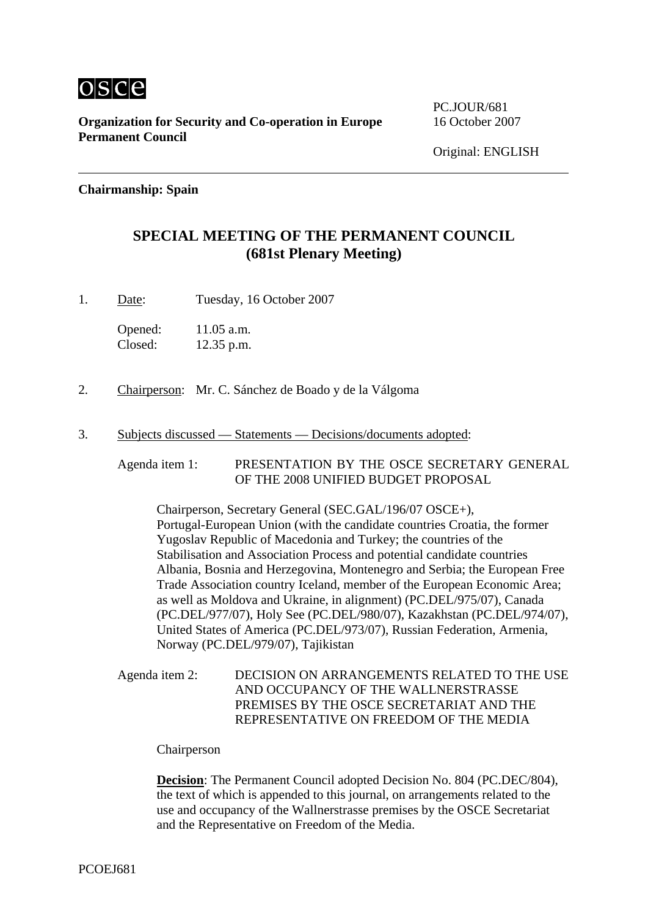

**Organization for Security and Co-operation in Europe** 16 October 2007 **Permanent Council** 

PC.JOUR/681

#### **Chairmanship: Spain**

## **SPECIAL MEETING OF THE PERMANENT COUNCIL (681st Plenary Meeting)**

1. Date: Tuesday, 16 October 2007

Opened: 11.05 a.m. Closed: 12.35 p.m.

- 2. Chairperson: Mr. C. Sánchez de Boado y de la Válgoma
- 3. Subjects discussed Statements Decisions/documents adopted:

Agenda item 1: PRESENTATION BY THE OSCE SECRETARY GENERAL OF THE 2008 UNIFIED BUDGET PROPOSAL

Chairperson, Secretary General (SEC.GAL/196/07 OSCE+), Portugal-European Union (with the candidate countries Croatia, the former Yugoslav Republic of Macedonia and Turkey; the countries of the Stabilisation and Association Process and potential candidate countries Albania, Bosnia and Herzegovina, Montenegro and Serbia; the European Free Trade Association country Iceland, member of the European Economic Area; as well as Moldova and Ukraine, in alignment) (PC.DEL/975/07), Canada (PC.DEL/977/07), Holy See (PC.DEL/980/07), Kazakhstan (PC.DEL/974/07), United States of America (PC.DEL/973/07), Russian Federation, Armenia, Norway (PC.DEL/979/07), Tajikistan

Agenda item 2: DECISION ON ARRANGEMENTS RELATED TO THE USE AND OCCUPANCY OF THE WALLNERSTRASSE PREMISES BY THE OSCE SECRETARIAT AND THE REPRESENTATIVE ON FREEDOM OF THE MEDIA

Chairperson

**Decision**: The Permanent Council adopted Decision No. 804 (PC.DEC/804), the text of which is appended to this journal, on arrangements related to the use and occupancy of the Wallnerstrasse premises by the OSCE Secretariat and the Representative on Freedom of the Media.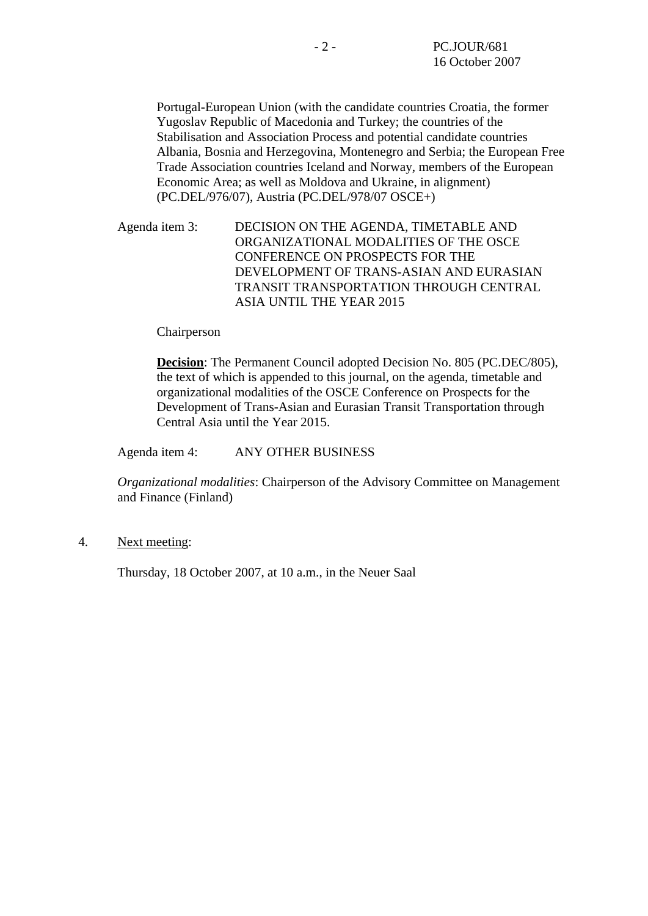Portugal-European Union (with the candidate countries Croatia, the former Yugoslav Republic of Macedonia and Turkey; the countries of the Stabilisation and Association Process and potential candidate countries Albania, Bosnia and Herzegovina, Montenegro and Serbia; the European Free Trade Association countries Iceland and Norway, members of the European Economic Area; as well as Moldova and Ukraine, in alignment) (PC.DEL/976/07), Austria (PC.DEL/978/07 OSCE+)

Agenda item 3: DECISION ON THE AGENDA, TIMETABLE AND ORGANIZATIONAL MODALITIES OF THE OSCE CONFERENCE ON PROSPECTS FOR THE DEVELOPMENT OF TRANS-ASIAN AND EURASIAN TRANSIT TRANSPORTATION THROUGH CENTRAL ASIA UNTIL THE YEAR 2015

#### Chairperson

**Decision**: The Permanent Council adopted Decision No. 805 (PC.DEC/805), the text of which is appended to this journal, on the agenda, timetable and organizational modalities of the OSCE Conference on Prospects for the Development of Trans-Asian and Eurasian Transit Transportation through Central Asia until the Year 2015.

Agenda item 4: ANY OTHER BUSINESS

*Organizational modalities*: Chairperson of the Advisory Committee on Management and Finance (Finland)

4. Next meeting:

Thursday, 18 October 2007, at 10 a.m., in the Neuer Saal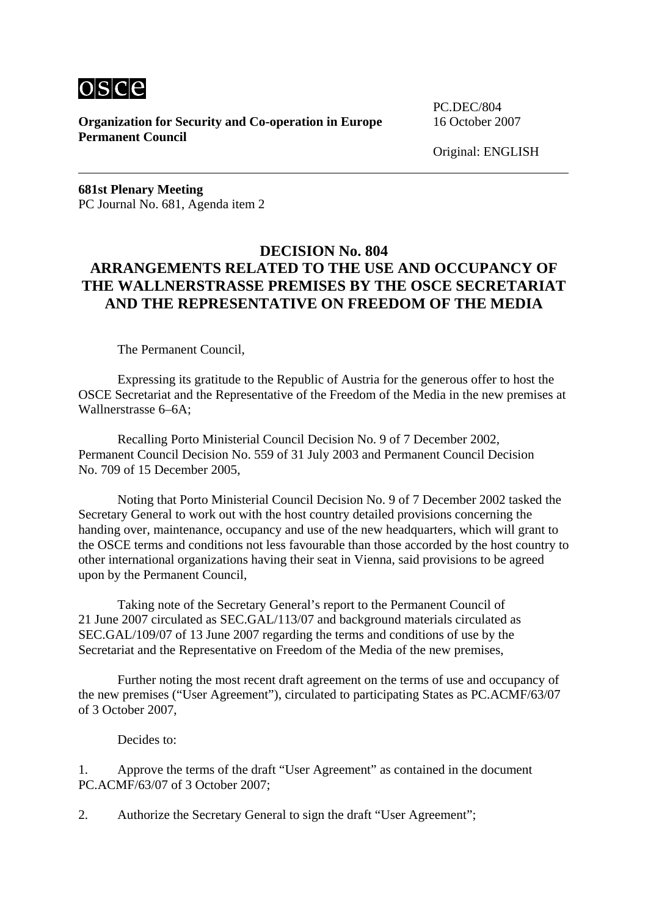

**Organization for Security and Co-operation in Europe** 16 October 2007 **Permanent Council** 

PC.DEC/804

Original: ENGLISH

**681st Plenary Meeting**  PC Journal No. 681, Agenda item 2

#### **DECISION No. 804 ARRANGEMENTS RELATED TO THE USE AND OCCUPANCY OF THE WALLNERSTRASSE PREMISES BY THE OSCE SECRETARIAT AND THE REPRESENTATIVE ON FREEDOM OF THE MEDIA**

The Permanent Council,

 Expressing its gratitude to the Republic of Austria for the generous offer to host the OSCE Secretariat and the Representative of the Freedom of the Media in the new premises at Wallnerstrasse 6–6A;

 Recalling Porto Ministerial Council Decision No. 9 of 7 December 2002, Permanent Council Decision No. 559 of 31 July 2003 and Permanent Council Decision No. 709 of 15 December 2005,

 Noting that Porto Ministerial Council Decision No. 9 of 7 December 2002 tasked the Secretary General to work out with the host country detailed provisions concerning the handing over, maintenance, occupancy and use of the new headquarters, which will grant to the OSCE terms and conditions not less favourable than those accorded by the host country to other international organizations having their seat in Vienna, said provisions to be agreed upon by the Permanent Council,

 Taking note of the Secretary General's report to the Permanent Council of 21 June 2007 circulated as SEC.GAL/113/07 and background materials circulated as SEC.GAL/109/07 of 13 June 2007 regarding the terms and conditions of use by the Secretariat and the Representative on Freedom of the Media of the new premises,

 Further noting the most recent draft agreement on the terms of use and occupancy of the new premises ("User Agreement"), circulated to participating States as PC.ACMF/63/07 of 3 October 2007,

Decides to:

1. Approve the terms of the draft "User Agreement" as contained in the document PC.ACMF/63/07 of 3 October 2007;

2. Authorize the Secretary General to sign the draft "User Agreement";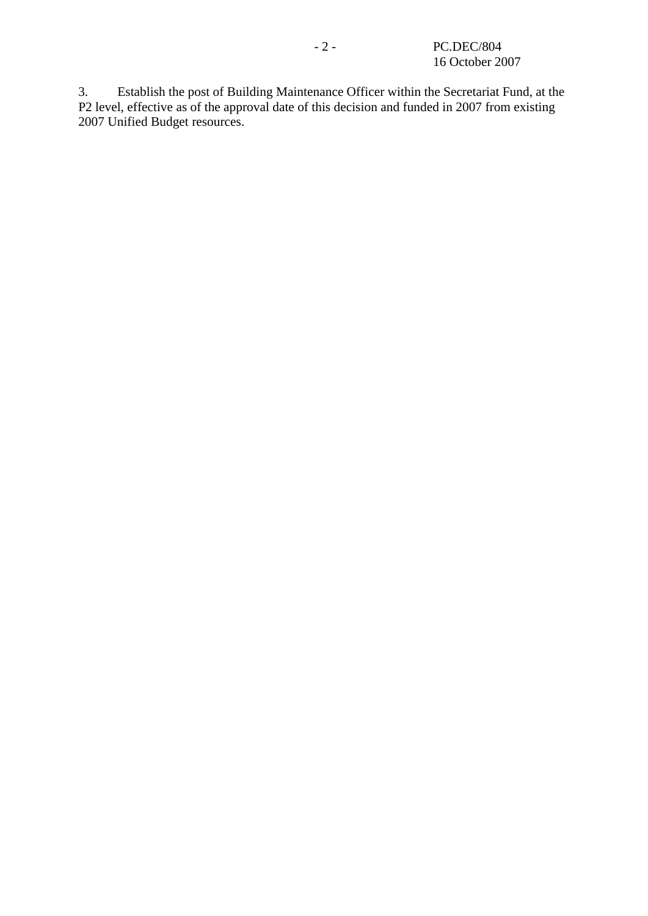3. Establish the post of Building Maintenance Officer within the Secretariat Fund, at the P2 level, effective as of the approval date of this decision and funded in 2007 from existing 2007 Unified Budget resources.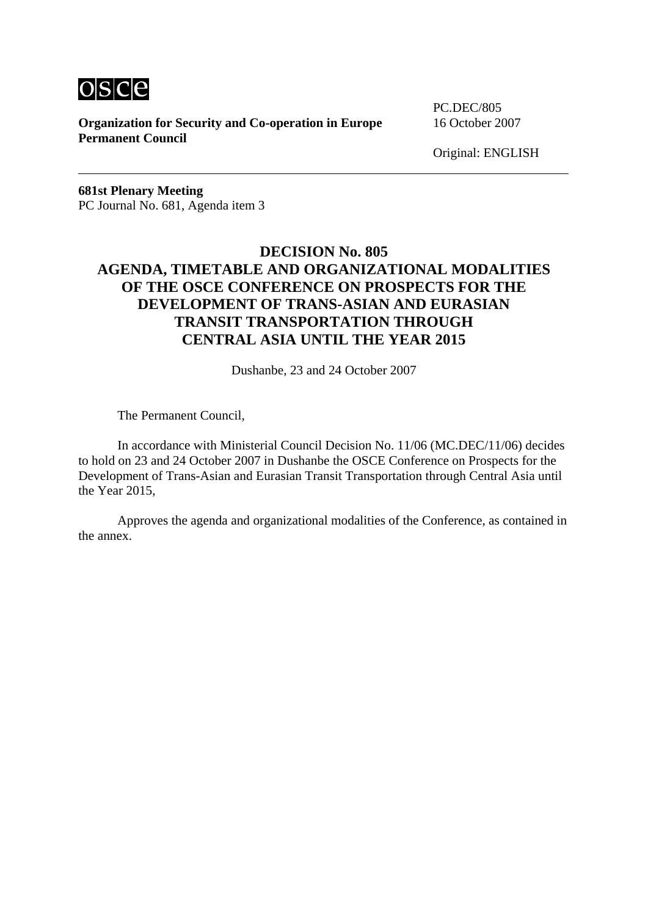

**Organization for Security and Co-operation in Europe** 16 October 2007 **Permanent Council** 

PC.DEC/805

Original: ENGLISH

**681st Plenary Meeting**  PC Journal No. 681, Agenda item 3

## **DECISION No. 805 AGENDA, TIMETABLE AND ORGANIZATIONAL MODALITIES OF THE OSCE CONFERENCE ON PROSPECTS FOR THE DEVELOPMENT OF TRANS-ASIAN AND EURASIAN TRANSIT TRANSPORTATION THROUGH CENTRAL ASIA UNTIL THE YEAR 2015**

Dushanbe, 23 and 24 October 2007

The Permanent Council,

 In accordance with Ministerial Council Decision No. 11/06 (MC.DEC/11/06) decides to hold on 23 and 24 October 2007 in Dushanbe the OSCE Conference on Prospects for the Development of Trans-Asian and Eurasian Transit Transportation through Central Asia until the Year 2015,

 Approves the agenda and organizational modalities of the Conference, as contained in the annex.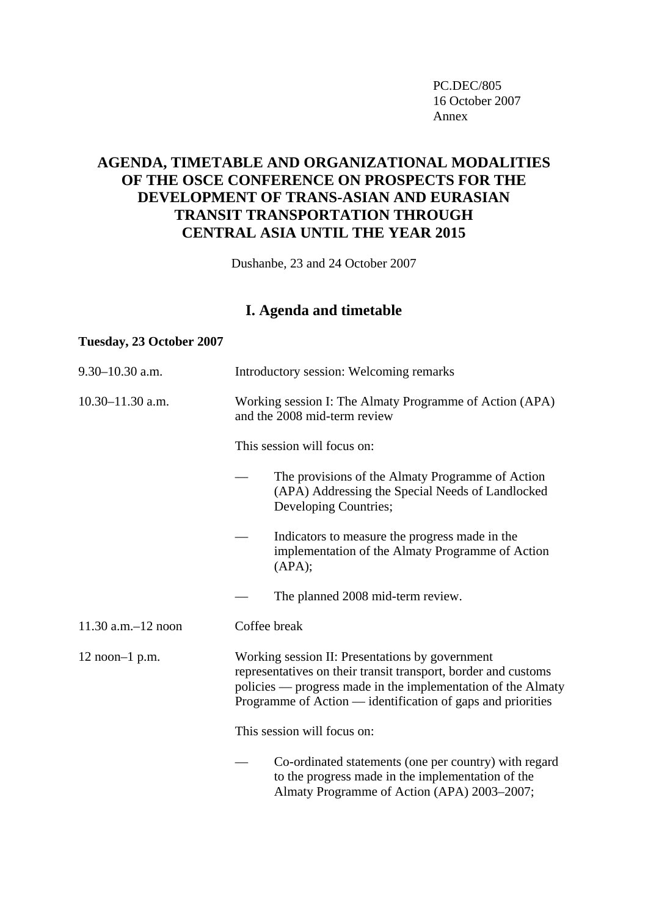PC.DEC/805 16 October 2007 Annex

# **AGENDA, TIMETABLE AND ORGANIZATIONAL MODALITIES OF THE OSCE CONFERENCE ON PROSPECTS FOR THE DEVELOPMENT OF TRANS-ASIAN AND EURASIAN TRANSIT TRANSPORTATION THROUGH CENTRAL ASIA UNTIL THE YEAR 2015**

Dushanbe, 23 and 24 October 2007

# **I. Agenda and timetable**

#### **Tuesday, 23 October 2007**

| 9.30-10.30 a.m.         | Introductory session: Welcoming remarks                                                                                                                                                                                                          |  |  |
|-------------------------|--------------------------------------------------------------------------------------------------------------------------------------------------------------------------------------------------------------------------------------------------|--|--|
| $10.30 - 11.30$ a.m.    | Working session I: The Almaty Programme of Action (APA)<br>and the 2008 mid-term review<br>This session will focus on:                                                                                                                           |  |  |
|                         |                                                                                                                                                                                                                                                  |  |  |
|                         | The provisions of the Almaty Programme of Action<br>(APA) Addressing the Special Needs of Landlocked<br>Developing Countries;                                                                                                                    |  |  |
|                         | Indicators to measure the progress made in the<br>implementation of the Almaty Programme of Action<br>(APA);                                                                                                                                     |  |  |
|                         | The planned 2008 mid-term review.                                                                                                                                                                                                                |  |  |
| $11.30$ a.m. $-12$ noon | Coffee break                                                                                                                                                                                                                                     |  |  |
| $12$ noon-1 p.m.        | Working session II: Presentations by government<br>representatives on their transit transport, border and customs<br>policies — progress made in the implementation of the Almaty<br>Programme of Action — identification of gaps and priorities |  |  |
|                         | This session will focus on:                                                                                                                                                                                                                      |  |  |
|                         | Co-ordinated statements (one per country) with regard<br>to the progress made in the implementation of the<br>Almaty Programme of Action (APA) 2003-2007;                                                                                        |  |  |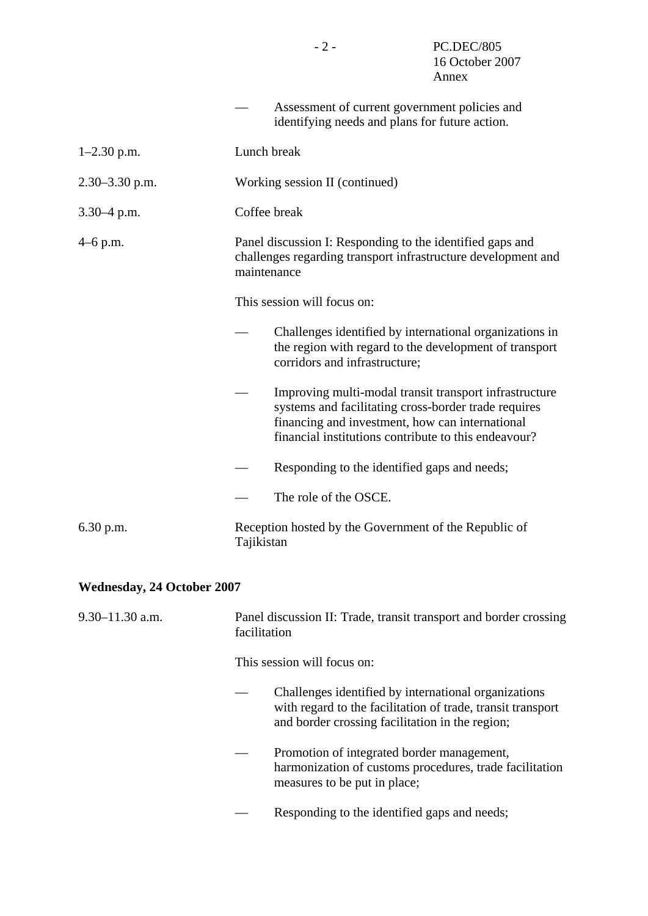|                    | Assessment of current government policies and<br>identifying needs and plans for future action.                                                                                                                           |  |  |
|--------------------|---------------------------------------------------------------------------------------------------------------------------------------------------------------------------------------------------------------------------|--|--|
| $1-2.30$ p.m.      | Lunch break                                                                                                                                                                                                               |  |  |
| $2.30 - 3.30$ p.m. | Working session II (continued)                                                                                                                                                                                            |  |  |
| $3.30 - 4$ p.m.    | Coffee break                                                                                                                                                                                                              |  |  |
| $4-6$ p.m.         | Panel discussion I: Responding to the identified gaps and<br>challenges regarding transport infrastructure development and<br>maintenance                                                                                 |  |  |
|                    | This session will focus on:                                                                                                                                                                                               |  |  |
|                    | Challenges identified by international organizations in<br>the region with regard to the development of transport<br>corridors and infrastructure;                                                                        |  |  |
|                    | Improving multi-modal transit transport infrastructure<br>systems and facilitating cross-border trade requires<br>financing and investment, how can international<br>financial institutions contribute to this endeavour? |  |  |
|                    | Responding to the identified gaps and needs;                                                                                                                                                                              |  |  |
|                    | The role of the OSCE.                                                                                                                                                                                                     |  |  |
| $6.30$ p.m.        | Reception hosted by the Government of the Republic of<br>Tajikistan                                                                                                                                                       |  |  |

# **Wednesday, 24 October 2007**

| $9.30 - 11.30$ a.m. | facilitation                | Panel discussion II: Trade, transit transport and border crossing                                                                                                      |  |
|---------------------|-----------------------------|------------------------------------------------------------------------------------------------------------------------------------------------------------------------|--|
|                     | This session will focus on: |                                                                                                                                                                        |  |
|                     |                             | Challenges identified by international organizations<br>with regard to the facilitation of trade, transit transport<br>and border crossing facilitation in the region; |  |
|                     |                             | Promotion of integrated border management,<br>harmonization of customs procedures, trade facilitation<br>measures to be put in place;                                  |  |
|                     |                             | Responding to the identified gaps and needs;                                                                                                                           |  |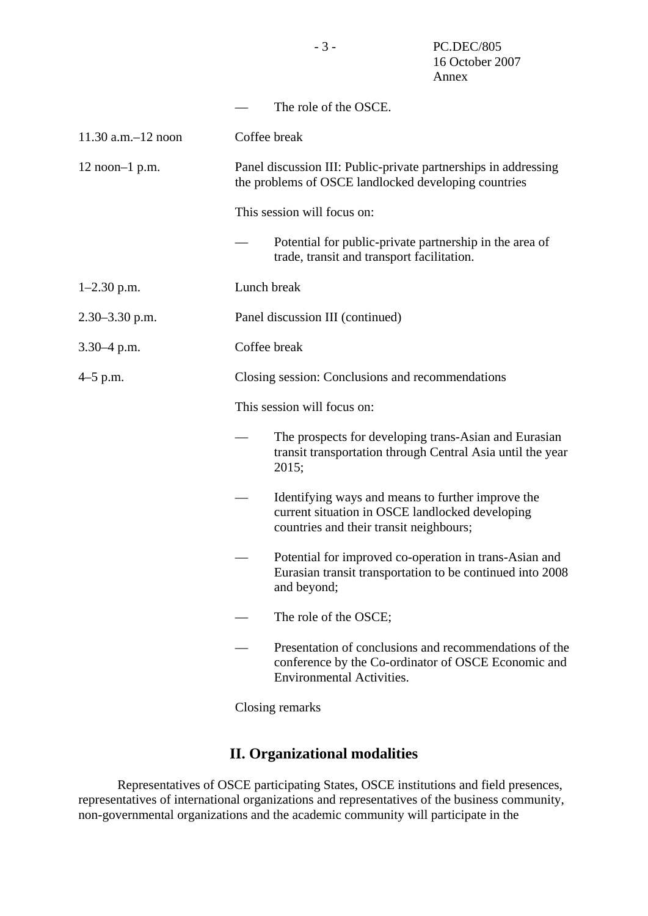|                         |                                                                                                                         | The role of the OSCE.                                                                                                                             |  |
|-------------------------|-------------------------------------------------------------------------------------------------------------------------|---------------------------------------------------------------------------------------------------------------------------------------------------|--|
| $11.30$ a.m. $-12$ noon | Coffee break                                                                                                            |                                                                                                                                                   |  |
| $12$ noon-1 p.m.        | Panel discussion III: Public-private partnerships in addressing<br>the problems of OSCE landlocked developing countries |                                                                                                                                                   |  |
|                         |                                                                                                                         | This session will focus on:                                                                                                                       |  |
|                         |                                                                                                                         | Potential for public-private partnership in the area of<br>trade, transit and transport facilitation.                                             |  |
| $1-2.30$ p.m.           | Lunch break                                                                                                             |                                                                                                                                                   |  |
| 2.30-3.30 p.m.          | Panel discussion III (continued)                                                                                        |                                                                                                                                                   |  |
| $3.30 - 4$ p.m.         | Coffee break                                                                                                            |                                                                                                                                                   |  |
| $4-5$ p.m.              |                                                                                                                         | Closing session: Conclusions and recommendations                                                                                                  |  |
|                         |                                                                                                                         | This session will focus on:                                                                                                                       |  |
|                         |                                                                                                                         | The prospects for developing trans-Asian and Eurasian<br>transit transportation through Central Asia until the year<br>2015;                      |  |
|                         |                                                                                                                         | Identifying ways and means to further improve the<br>current situation in OSCE landlocked developing<br>countries and their transit neighbours;   |  |
|                         |                                                                                                                         | Potential for improved co-operation in trans-Asian and<br>Eurasian transit transportation to be continued into 2008<br>and beyond;                |  |
|                         |                                                                                                                         | The role of the OSCE;                                                                                                                             |  |
|                         |                                                                                                                         | Presentation of conclusions and recommendations of the<br>conference by the Co-ordinator of OSCE Economic and<br><b>Environmental Activities.</b> |  |

Closing remarks

# **II. Organizational modalities**

 Representatives of OSCE participating States, OSCE institutions and field presences, representatives of international organizations and representatives of the business community, non-governmental organizations and the academic community will participate in the